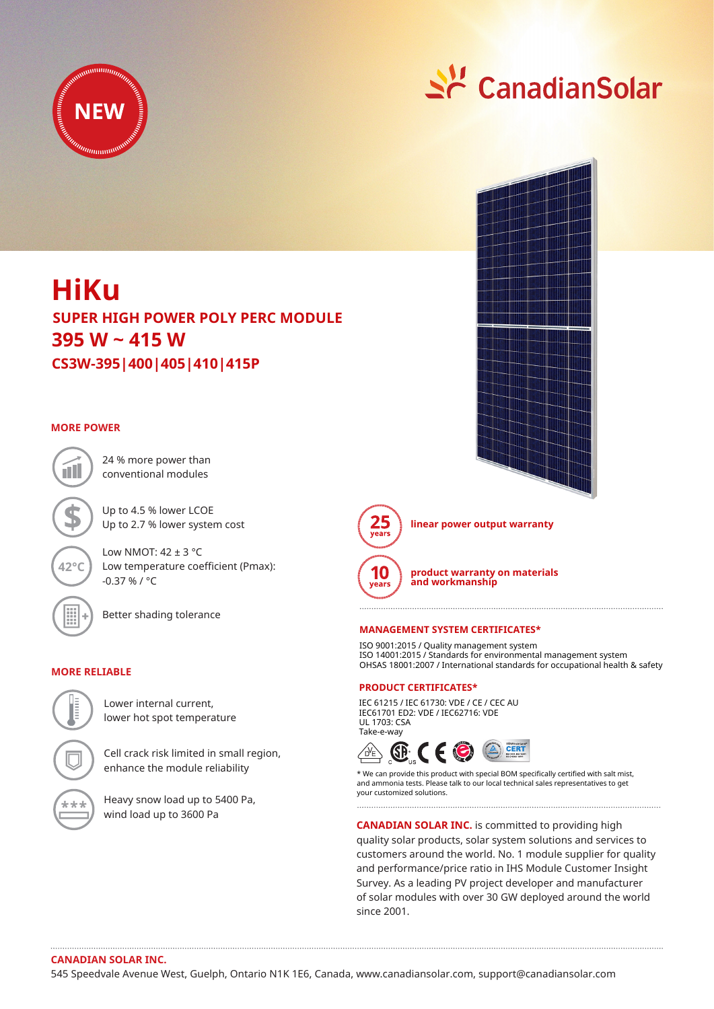

# $\mathbb{R}^N$  CanadianSolar



**linear power output warranty**



**product warranty on materials and workmanship**

### **MANAGEMENT SYSTEM CERTIFICATES\***

ISO 9001:2015 / Quality management system ISO 14001:2015 / Standards for environmental management system OHSAS 18001:2007 / International standards for occupational health & safety

### **PRODUCT CERTIFICATES\***

IEC 61215 / IEC 61730: VDE / CE / CEC AU IEC61701 ED2: VDE / IEC62716: VDE UL 1703: CSA Take-e-way



\* We can provide this product with special BOM specifically certified with salt mist, and ammonia tests. Please talk to our local technical sales representatives to get your customized solutions.

**CANADIAN SOLAR INC.** is committed to providing high quality solar products, solar system solutions and services to customers around the world. No. 1 module supplier for quality and performance/price ratio in IHS Module Customer Insight Survey. As a leading PV project developer and manufacturer of solar modules with over 30 GW deployed around the world since 2001.

## **HiKu**

**CS3W-395|400|405|410|415P 395 W ~ 415 W SUPER HIGH POWER POLY PERC MODULE**

### **MORE POWER**

**42°C**

Better shading tolerance

Lower internal current, lower hot spot temperature

Low temperature coefficient (Pmax):

Low NMOT:  $42 \pm 3$  °C

-0.37 % / °C

24 % more power than conventional modules

Up to 4.5 % lower LCOE Up to 2.7 % lower system cost

### **MORE RELIABLE**



Heavy snow load up to 5400 Pa,

Cell crack risk limited in small region, enhance the module reliability

wind load up to 3600 Pa

#### **CANADIAN SOLAR INC.**